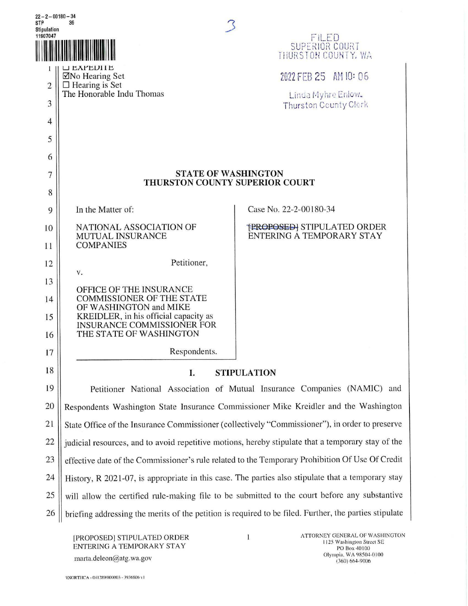| $22 - 2 - 00180 - 34$<br>STP<br>36                                               |                                                                                                        |                                                                |
|----------------------------------------------------------------------------------|--------------------------------------------------------------------------------------------------------|----------------------------------------------------------------|
| <b>Stipulation</b><br>11907047<br>FILED<br>SUPERIOR COURT<br>THURSTON COUNTY, WA |                                                                                                        |                                                                |
|                                                                                  | LI LAPEDITE<br>⊠No Hearing Set                                                                         | 2022 FEB 25 AM 10: 06                                          |
| $\overline{2}$                                                                   | $\Box$ Hearing is Set<br>The Honorable Indu Thomas                                                     |                                                                |
| 3                                                                                |                                                                                                        | Linda Myhre Enlow.<br>Thurston County Clerk                    |
| $\overline{4}$                                                                   |                                                                                                        |                                                                |
| 5                                                                                |                                                                                                        |                                                                |
| 6                                                                                |                                                                                                        |                                                                |
| $\overline{7}$                                                                   | <b>STATE OF WASHINGTON</b><br>THURSTON COUNTY SUPERIOR COURT                                           |                                                                |
| 8                                                                                |                                                                                                        |                                                                |
| 9                                                                                | In the Matter of:                                                                                      | Case No. 22-2-00180-34                                         |
| 10                                                                               | NATIONAL ASSOCIATION OF<br>MUTUAL INSURANCE                                                            | <b>FROPOSED: STIPULATED ORDER</b><br>ENTERING A TEMPORARY STAY |
| 11                                                                               | <b>COMPANIES</b>                                                                                       |                                                                |
| 12                                                                               | Petitioner,                                                                                            |                                                                |
| 13                                                                               | V.                                                                                                     |                                                                |
| 14                                                                               | OFFICE OF THE INSURANCE<br><b>COMMISSIONER OF THE STATE</b>                                            |                                                                |
| 15                                                                               | OF WASHINGTON and MIKE<br>KREIDLER, in his official capacity as<br>INSURANCE COMMISSIONER FOR          |                                                                |
| 16                                                                               | THE STATE OF WASHINGTON                                                                                |                                                                |
| 17                                                                               | Respondents.                                                                                           |                                                                |
| 18                                                                               | Ι.<br><b>STIPULATION</b>                                                                               |                                                                |
| 19                                                                               | Petitioner National Association of Mutual Insurance Companies (NAMIC) and                              |                                                                |
| 20                                                                               | Respondents Washington State Insurance Commissioner Mike Kreidler and the Washington                   |                                                                |
| 21                                                                               | State Office of the Insurance Commissioner (collectively "Commissioner"), in order to preserve         |                                                                |
| 22                                                                               | judicial resources, and to avoid repetitive motions, hereby stipulate that a temporary stay of the     |                                                                |
| 23                                                                               | effective date of the Commissioner's rule related to the Temporary Prohibition Of Use Of Credit        |                                                                |
| 24                                                                               | History, R 2021-07, is appropriate in this case. The parties also stipulate that a temporary stay      |                                                                |
| 25                                                                               | will allow the certified rule-making file to be submitted to the court before any substantive          |                                                                |
| 26                                                                               | briefing addressing the merits of the petition is required to be filed. Further, the parties stipulate |                                                                |
|                                                                                  |                                                                                                        |                                                                |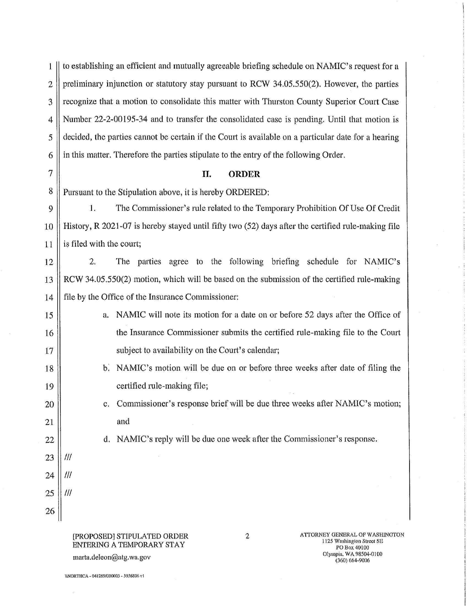1 to establishing an efficient and mutually agreeable briefing schedule on NAMIC's request for a  $2 \parallel$  preliminary injunction or statutory stay pursuant to RCW 34.05.550(2). However, the parties 3 || recognize that a motion to consolidate this matter with Thurston County Superior Court Case 4 Number 22-2-00195-34 and to transfer the consolidated case is pending. Until that motion :is 5 decided, the parties cannot be certain if the Court is available on a particular date for a hearing 6 | in this matter. Therefore the parties stipulate to the entry of the following Order.

## 7 II. **ORDER**

8 | Pursuant to the Stipulation above, it is hereby ORDERED:

9 l. The Commissioner's rule related to the Temporary Prohibition Of Use Of Credit 10 **History, R 2021-07** is hereby stayed until fifty two (52) days after the certified rule-making file 11  $\parallel$  is filed with the court;

12 2. The parties agree to the following briefing schedule for NAMIC's 13 RCW 34.05.550(2) motion, which will be based on the submission of the certified rule-making 14 file by the Office of the Insurance Commissioner:

- 15 16 17 a. NAMIC will note its motion for a date on or before 52 days after the Office of the Insurance Commissioner submits the certified rule-making file to the Court subject to availability on the Court's calendar;
	- b. NAMIC's motion will be due on or before three weeks after date of filing the certified rule-making file;
	- c. Commissioner's response brief will be due three weeks after NAMlC's motion; and
		- d. NAMIC's reply will be due one week after the Commissioner's response.
- 23 24 25 Ill Ill Ill

18

19

20

21

22

26

## [PROPOSED] STIPULATED ORDER ENTERING A TEMPORARY STAY

2 **ATTORNEY GENERAL OF WASHINGTON** 1125 Washington Street SE PO Box 40100 Olympia, WA.98504-0100 (360) 664-9006

marta.deleon@atg.wa.gov